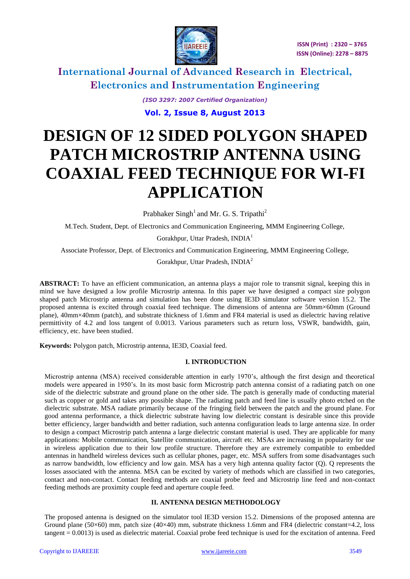

*(ISO 3297: 2007 Certified Organization)*

**Vol. 2, Issue 8, August 2013**

# **DESIGN OF 12 SIDED POLYGON SHAPED PATCH MICROSTRIP ANTENNA USING COAXIAL FEED TECHNIQUE FOR WI-FI APPLICATION**

Prabhaker Singh<sup>1</sup> and Mr. G. S. Tripathi<sup>2</sup>

M.Tech. Student, Dept. of Electronics and Communication Engineering, MMM Engineering College,

Gorakhpur, Uttar Pradesh, INDIA<sup>1</sup>

Associate Professor, Dept. of Electronics and Communication Engineering, MMM Engineering College,

Gorakhpur, Uttar Pradesh, INDIA<sup>2</sup>

**ABSTRACT:** To have an efficient communication, an antenna plays a major role to transmit signal, keeping this in mind we have designed a low profile Microstrip antenna. In this paper we have designed a compact size polygon shaped patch Microstrip antenna and simulation has been done using IE3D simulator software version 15.2. The proposed antenna is excited through coaxial feed technique. The dimensions of antenna are 50mm×60mm (Ground plane), 40mm×40mm (patch), and substrate thickness of 1.6mm and FR4 material is used as dielectric having relative permittivity of 4.2 and loss tangent of 0.0013. Various parameters such as return loss, VSWR, bandwidth, gain, efficiency, etc. have been studied.

**Keywords:** Polygon patch, Microstrip antenna, IE3D, Coaxial feed.

### **I. INTRODUCTION**

Microstrip antenna (MSA) received considerable attention in early 1970"s, although the first design and theoretical models were appeared in 1950"s. In its most basic form Microstrip patch antenna consist of a radiating patch on one side of the dielectric substrate and ground plane on the other side. The patch is generally made of conducting material such as copper or gold and takes any possible shape. The radiating patch and feed line is usually photo etched on the dielectric substrate. MSA radiate primarily because of the fringing field between the patch and the ground plane. For good antenna performance, a thick dielectric substrate having low dielectric constant is desirable since this provide better efficiency, larger bandwidth and better radiation, such antenna configuration leads to large antenna size. In order to design a compact Microstrip patch antenna a large dielectric constant material is used. They are applicable for many applications: Mobile communication, Satellite communication, aircraft etc. MSAs are increasing in popularity for use in wireless application due to their low profile structure. Therefore they are extremely compatible to embedded antennas in handheld wireless devices such as cellular phones, pager, etc. MSA suffers from some disadvantages such as narrow bandwidth, low efficiency and low gain. MSA has a very high antenna quality factor (Q). Q represents the losses associated with the antenna. MSA can be excited by variety of methods which are classified in two categories, contact and non-contact. Contact feeding methods are coaxial probe feed and Microstrip line feed and non-contact feeding methods are proximity couple feed and aperture couple feed.

### **II. ANTENNA DESIGN METHODOLOGY**

The proposed antenna is designed on the simulator tool IE3D version 15.2. Dimensions of the proposed antenna are Ground plane  $(50\times60)$  mm, patch size  $(40\times40)$  mm, substrate thickness 1.6mm and FR4 (dielectric constant=4.2, loss tangent = 0.0013) is used as dielectric material. Coaxial probe feed technique is used for the excitation of antenna. Feed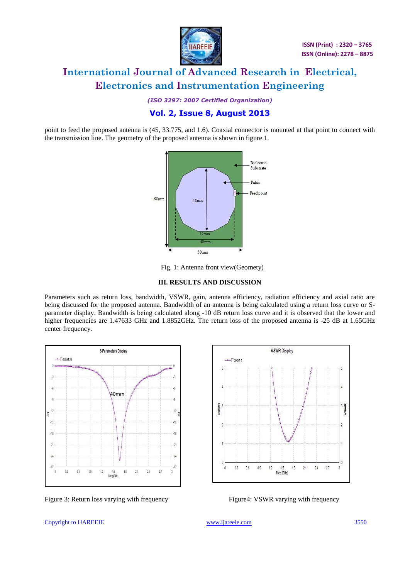

*(ISO 3297: 2007 Certified Organization)*

### **Vol. 2, Issue 8, August 2013**

point to feed the proposed antenna is (45, 33.775, and 1.6). Coaxial connector is mounted at that point to connect with the transmission line. The geometry of the proposed antenna is shown in figure 1.



Fig. 1: Antenna front view(Geomety)

### **III. RESULTS AND DISCUSSION**

Parameters such as return loss, bandwidth, VSWR, gain, antenna efficiency, radiation efficiency and axial ratio are being discussed for the proposed antenna. Bandwidth of an antenna is being calculated using a return loss curve or Sparameter display. Bandwidth is being calculated along -10 dB return loss curve and it is observed that the lower and higher frequencies are 1.47633 GHz and 1.8852GHz. The return loss of the proposed antenna is -25 dB at 1.65GHz center frequency.



Figure 3: Return loss varying with frequency Figure4: VSWR varying with frequency



#### Copyright to IJAREEIE [www.ijareeie.com](http://www.ijareeie.com/) 3550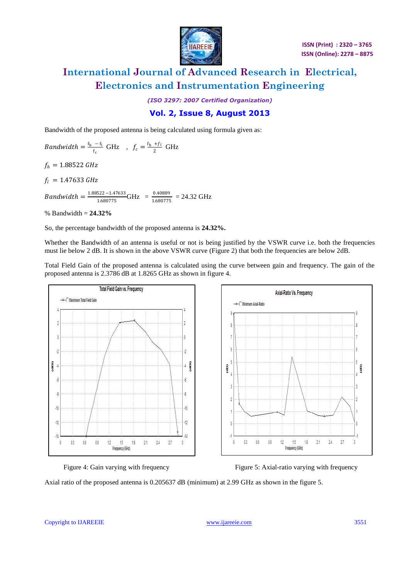

*(ISO 3297: 2007 Certified Organization)*

### **Vol. 2, Issue 8, August 2013**

Bandwidth of the proposed antenna is being calculated using formula given as:

Bandwidth  $=\frac{f_h - f_l}{f}$  $\frac{-f_1}{f_c} \text{ GHz}$ ,  $f_c = \frac{f_h + f_l}{2}$  $rac{+1}{2}$  GHz  $f_h = 1.88522 \text{ GHz}$  $f_l = 1.47633 \text{ GHz}$ *Bandwidth* =  $\frac{1.88522 - 1.47633}{1.699775}$  $\frac{522 - 1.47633}{1.680775} \text{GHz} = \frac{0.40889}{1.680775}$  $\frac{0.4000}{1.680775}$  = 24.32 GHz

% Bandwidth = **24.32%**

So, the percentage bandwidth of the proposed antenna is **24.32%.**

Whether the Bandwidth of an antenna is useful or not is being justified by the VSWR curve i.e. both the frequencies must lie below 2 dB. It is shown in the above VSWR curve (Figure 2) that both the frequencies are below 2dB.

Total Field Gain of the proposed antenna is calculated using the curve between gain and frequency. The gain of the proposed antenna is 2.3786 dB at 1.8265 GHz as shown in figure 4.





Figure 4: Gain varying with frequency Figure 5: Axial-ratio varying with frequency

Axial ratio of the proposed antenna is 0.205637 dB (minimum) at 2.99 GHz as shown in the figure 5.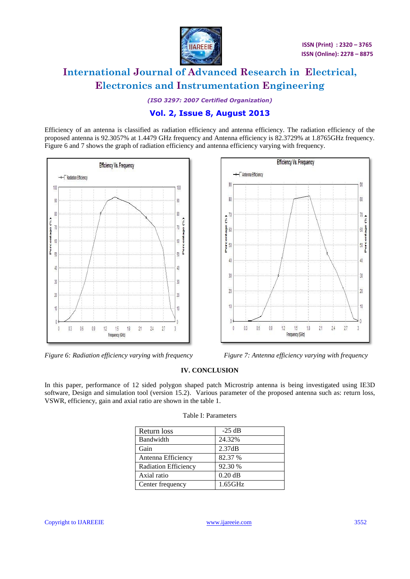

*(ISO 3297: 2007 Certified Organization)*

## **Vol. 2, Issue 8, August 2013**

Efficiency of an antenna is classified as radiation efficiency and antenna efficiency. The radiation efficiency of the proposed antenna is 92.3057% at 1.4479 GHz frequency and Antenna efficiency is 82.3729% at 1.8765GHz frequency. Figure 6 and 7 shows the graph of radiation efficiency and antenna efficiency varying with frequency.



*Figure 6: Radiation efficiency varying with frequency Figure 7: Antenna efficiency varying with frequency* 



### **IV. CONCLUSION**

In this paper, performance of 12 sided polygon shaped patch Microstrip antenna is being investigated using IE3D software, Design and simulation tool (version 15.2). Various parameter of the proposed antenna such as: return loss, VSWR, efficiency, gain and axial ratio are shown in the table 1.

| Return loss                 | $-25$ dB   |
|-----------------------------|------------|
| Bandwidth                   | 24.32%     |
| Gain                        | 2.37dB     |
| Antenna Efficiency          | 82.37 %    |
| <b>Radiation Efficiency</b> | 92.30 %    |
| Axial ratio                 | $0.20$ dB  |
| Center frequency            | $1.65$ GHz |

#### Table I: Parameters

Copyright to IJAREEIE [www.ijareeie.com](http://www.ijareeie.com/) 3552